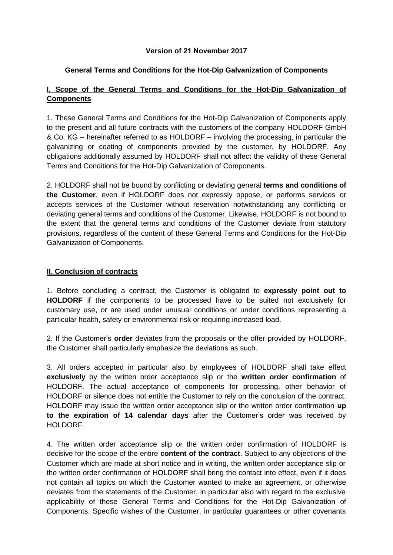### **Version of 21 November 2017**

### **General Terms and Conditions for the Hot-Dip Galvanization of Components**

# **I. Scope of the General Terms and Conditions for the Hot-Dip Galvanization of Components**

1. These General Terms and Conditions for the Hot-Dip Galvanization of Components apply to the present and all future contracts with the customers of the company HOLDORF GmbH & Co. KG – hereinafter referred to as HOLDORF – involving the processing, in particular the galvanizing or coating of components provided by the customer, by HOLDORF. Any obligations additionally assumed by HOLDORF shall not affect the validity of these General Terms and Conditions for the Hot-Dip Galvanization of Components.

2. HOLDORF shall not be bound by conflicting or deviating general **terms and conditions of the Customer**, even if HOLDORF does not expressly oppose, or performs services or accepts services of the Customer without reservation notwithstanding any conflicting or deviating general terms and conditions of the Customer. Likewise, HOLDORF is not bound to the extent that the general terms and conditions of the Customer deviate from statutory provisions, regardless of the content of these General Terms and Conditions for the Hot-Dip Galvanization of Components.

### **II. Conclusion of contracts**

1. Before concluding a contract, the Customer is obligated to **expressly point out to HOLDORF** if the components to be processed have to be suited not exclusively for customary use, or are used under unusual conditions or under conditions representing a particular health, safety or environmental risk or requiring increased load.

2. If the Customer's **order** deviates from the proposals or the offer provided by HOLDORF, the Customer shall particularly emphasize the deviations as such.

3. All orders accepted in particular also by employees of HOLDORF shall take effect **exclusively** by the written order acceptance slip or the **written order confirmation** of HOLDORF. The actual acceptance of components for processing, other behavior of HOLDORF or silence does not entitle the Customer to rely on the conclusion of the contract. HOLDORF may issue the written order acceptance slip or the written order confirmation **up to the expiration of 14 calendar days** after the Customer's order was received by HOLDORF.

4. The written order acceptance slip or the written order confirmation of HOLDORF is decisive for the scope of the entire **content of the contract**. Subject to any objections of the Customer which are made at short notice and in writing, the written order acceptance slip or the written order confirmation of HOLDORF shall bring the contact into effect, even if it does not contain all topics on which the Customer wanted to make an agreement, or otherwise deviates from the statements of the Customer, in particular also with regard to the exclusive applicability of these General Terms and Conditions for the Hot-Dip Galvanization of Components. Specific wishes of the Customer, in particular guarantees or other covenants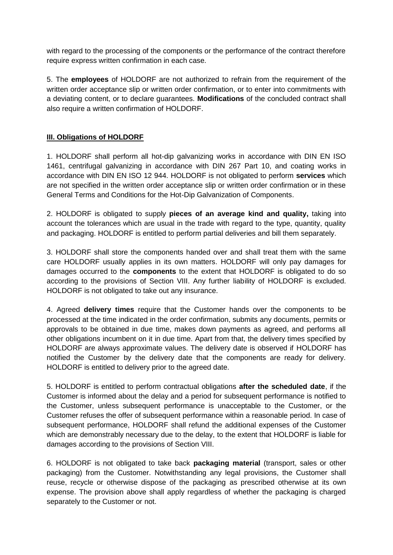with regard to the processing of the components or the performance of the contract therefore require express written confirmation in each case.

5. The **employees** of HOLDORF are not authorized to refrain from the requirement of the written order acceptance slip or written order confirmation, or to enter into commitments with a deviating content, or to declare guarantees. **Modifications** of the concluded contract shall also require a written confirmation of HOLDORF.

# **III. Obligations of HOLDORF**

1. HOLDORF shall perform all hot-dip galvanizing works in accordance with DIN EN ISO 1461, centrifugal galvanizing in accordance with DIN 267 Part 10, and coating works in accordance with DIN EN ISO 12 944. HOLDORF is not obligated to perform **services** which are not specified in the written order acceptance slip or written order confirmation or in these General Terms and Conditions for the Hot-Dip Galvanization of Components.

2. HOLDORF is obligated to supply **pieces of an average kind and quality,** taking into account the tolerances which are usual in the trade with regard to the type, quantity, quality and packaging. HOLDORF is entitled to perform partial deliveries and bill them separately.

3. HOLDORF shall store the components handed over and shall treat them with the same care HOLDORF usually applies in its own matters. HOLDORF will only pay damages for damages occurred to the **components** to the extent that HOLDORF is obligated to do so according to the provisions of Section VIII. Any further liability of HOLDORF is excluded. HOLDORF is not obligated to take out any insurance.

4. Agreed **delivery times** require that the Customer hands over the components to be processed at the time indicated in the order confirmation, submits any documents, permits or approvals to be obtained in due time, makes down payments as agreed, and performs all other obligations incumbent on it in due time. Apart from that, the delivery times specified by HOLDORF are always approximate values. The delivery date is observed if HOLDORF has notified the Customer by the delivery date that the components are ready for delivery. HOLDORF is entitled to delivery prior to the agreed date.

5. HOLDORF is entitled to perform contractual obligations **after the scheduled date**, if the Customer is informed about the delay and a period for subsequent performance is notified to the Customer, unless subsequent performance is unacceptable to the Customer, or the Customer refuses the offer of subsequent performance within a reasonable period. In case of subsequent performance, HOLDORF shall refund the additional expenses of the Customer which are demonstrably necessary due to the delay, to the extent that HOLDORF is liable for damages according to the provisions of Section VIII.

6. HOLDORF is not obligated to take back **packaging material** (transport, sales or other packaging) from the Customer. Notwithstanding any legal provisions, the Customer shall reuse, recycle or otherwise dispose of the packaging as prescribed otherwise at its own expense. The provision above shall apply regardless of whether the packaging is charged separately to the Customer or not.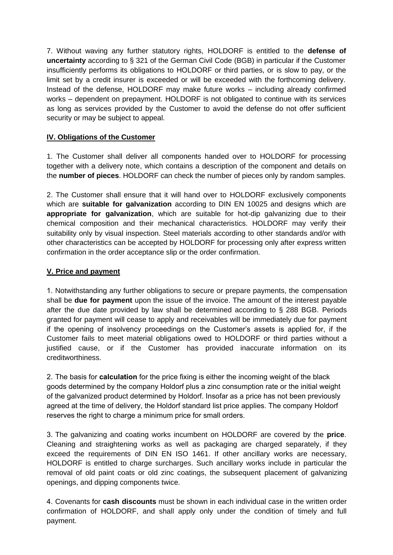7. Without waving any further statutory rights, HOLDORF is entitled to the **defense of uncertainty** according to § 321 of the German Civil Code (BGB) in particular if the Customer insufficiently performs its obligations to HOLDORF or third parties, or is slow to pay, or the limit set by a credit insurer is exceeded or will be exceeded with the forthcoming delivery. Instead of the defense, HOLDORF may make future works – including already confirmed works – dependent on prepayment. HOLDORF is not obligated to continue with its services as long as services provided by the Customer to avoid the defense do not offer sufficient security or may be subject to appeal.

# **IV. Obligations of the Customer**

1. The Customer shall deliver all components handed over to HOLDORF for processing together with a delivery note, which contains a description of the component and details on the **number of pieces**. HOLDORF can check the number of pieces only by random samples.

2. The Customer shall ensure that it will hand over to HOLDORF exclusively components which are **suitable for galvanization** according to DIN EN 10025 and designs which are **appropriate for galvanization**, which are suitable for hot-dip galvanizing due to their chemical composition and their mechanical characteristics. HOLDORF may verify their suitability only by visual inspection. Steel materials according to other standards and/or with other characteristics can be accepted by HOLDORF for processing only after express written confirmation in the order acceptance slip or the order confirmation.

# **V. Price and payment**

1. Notwithstanding any further obligations to secure or prepare payments, the compensation shall be **due for payment** upon the issue of the invoice. The amount of the interest payable after the due date provided by law shall be determined according to § 288 BGB. Periods granted for payment will cease to apply and receivables will be immediately due for payment if the opening of insolvency proceedings on the Customer's assets is applied for, if the Customer fails to meet material obligations owed to HOLDORF or third parties without a justified cause, or if the Customer has provided inaccurate information on its creditworthiness.

2. The basis for **calculation** for the price fixing is either the incoming weight of the black goods determined by the company Holdorf plus a zinc consumption rate or the initial weight of the galvanized product determined by Holdorf. Insofar as a price has not been previously agreed at the time of delivery, the Holdorf standard list price applies. The company Holdorf reserves the right to charge a minimum price for small orders.

3. The galvanizing and coating works incumbent on HOLDORF are covered by the **price**. Cleaning and straightening works as well as packaging are charged separately, if they exceed the requirements of DIN EN ISO 1461. If other ancillary works are necessary, HOLDORF is entitled to charge surcharges. Such ancillary works include in particular the removal of old paint coats or old zinc coatings, the subsequent placement of galvanizing openings, and dipping components twice.

4. Covenants for **cash discounts** must be shown in each individual case in the written order confirmation of HOLDORF, and shall apply only under the condition of timely and full payment.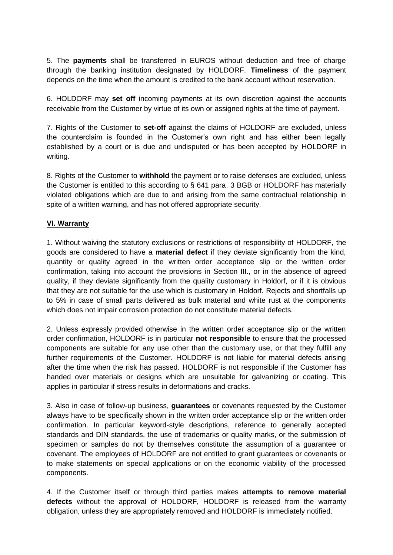5. The **payments** shall be transferred in EUROS without deduction and free of charge through the banking institution designated by HOLDORF. **Timeliness** of the payment depends on the time when the amount is credited to the bank account without reservation.

6. HOLDORF may **set off** incoming payments at its own discretion against the accounts receivable from the Customer by virtue of its own or assigned rights at the time of payment.

7. Rights of the Customer to **set-off** against the claims of HOLDORF are excluded, unless the counterclaim is founded in the Customer's own right and has either been legally established by a court or is due and undisputed or has been accepted by HOLDORF in writing.

8. Rights of the Customer to **withhold** the payment or to raise defenses are excluded, unless the Customer is entitled to this according to § 641 para. 3 BGB or HOLDORF has materially violated obligations which are due to and arising from the same contractual relationship in spite of a written warning, and has not offered appropriate security.

### **VI. Warranty**

1. Without waiving the statutory exclusions or restrictions of responsibility of HOLDORF, the goods are considered to have a **material defect** if they deviate significantly from the kind, quantity or quality agreed in the written order acceptance slip or the written order confirmation, taking into account the provisions in Section III., or in the absence of agreed quality, if they deviate significantly from the quality customary in Holdorf, or if it is obvious that they are not suitable for the use which is customary in Holdorf. Rejects and shortfalls up to 5% in case of small parts delivered as bulk material and white rust at the components which does not impair corrosion protection do not constitute material defects.

2. Unless expressly provided otherwise in the written order acceptance slip or the written order confirmation, HOLDORF is in particular **not responsible** to ensure that the processed components are suitable for any use other than the customary use, or that they fulfill any further requirements of the Customer. HOLDORF is not liable for material defects arising after the time when the risk has passed. HOLDORF is not responsible if the Customer has handed over materials or designs which are unsuitable for galvanizing or coating. This applies in particular if stress results in deformations and cracks.

3. Also in case of follow-up business, **guarantees** or covenants requested by the Customer always have to be specifically shown in the written order acceptance slip or the written order confirmation. In particular keyword-style descriptions, reference to generally accepted standards and DIN standards, the use of trademarks or quality marks, or the submission of specimen or samples do not by themselves constitute the assumption of a guarantee or covenant. The employees of HOLDORF are not entitled to grant guarantees or covenants or to make statements on special applications or on the economic viability of the processed components.

4. If the Customer itself or through third parties makes **attempts to remove material defects** without the approval of HOLDORF, HOLDORF is released from the warranty obligation, unless they are appropriately removed and HOLDORF is immediately notified.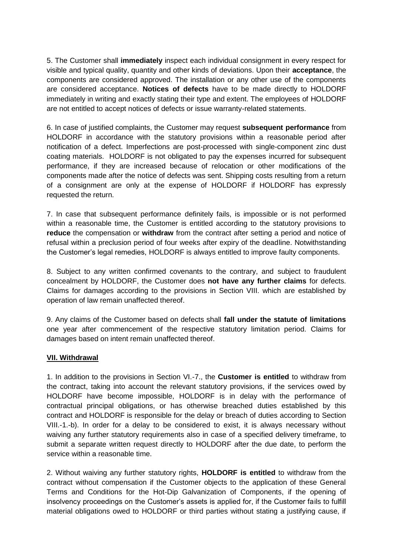5. The Customer shall **immediately** inspect each individual consignment in every respect for visible and typical quality, quantity and other kinds of deviations. Upon their **acceptance**, the components are considered approved. The installation or any other use of the components are considered acceptance. **Notices of defects** have to be made directly to HOLDORF immediately in writing and exactly stating their type and extent. The employees of HOLDORF are not entitled to accept notices of defects or issue warranty-related statements.

6. In case of justified complaints, the Customer may request **subsequent performance** from HOLDORF in accordance with the statutory provisions within a reasonable period after notification of a defect. Imperfections are post-processed with single-component zinc dust coating materials. HOLDORF is not obligated to pay the expenses incurred for subsequent performance, if they are increased because of relocation or other modifications of the components made after the notice of defects was sent. Shipping costs resulting from a return of a consignment are only at the expense of HOLDORF if HOLDORF has expressly requested the return.

7. In case that subsequent performance definitely fails, is impossible or is not performed within a reasonable time, the Customer is entitled according to the statutory provisions to **reduce** the compensation or **withdraw** from the contract after setting a period and notice of refusal within a preclusion period of four weeks after expiry of the deadline. Notwithstanding the Customer's legal remedies, HOLDORF is always entitled to improve faulty components.

8. Subject to any written confirmed covenants to the contrary, and subject to fraudulent concealment by HOLDORF, the Customer does **not have any further claims** for defects. Claims for damages according to the provisions in Section VIII. which are established by operation of law remain unaffected thereof.

9. Any claims of the Customer based on defects shall **fall under the statute of limitations** one year after commencement of the respective statutory limitation period. Claims for damages based on intent remain unaffected thereof.

#### **VII. Withdrawal**

1. In addition to the provisions in Section VI.-7., the **Customer is entitled** to withdraw from the contract, taking into account the relevant statutory provisions, if the services owed by HOLDORF have become impossible, HOLDORF is in delay with the performance of contractual principal obligations, or has otherwise breached duties established by this contract and HOLDORF is responsible for the delay or breach of duties according to Section VIII.-1.-b). In order for a delay to be considered to exist, it is always necessary without waiving any further statutory requirements also in case of a specified delivery timeframe, to submit a separate written request directly to HOLDORF after the due date, to perform the service within a reasonable time.

2. Without waiving any further statutory rights, **HOLDORF is entitled** to withdraw from the contract without compensation if the Customer objects to the application of these General Terms and Conditions for the Hot-Dip Galvanization of Components, if the opening of insolvency proceedings on the Customer's assets is applied for, if the Customer fails to fulfill material obligations owed to HOLDORF or third parties without stating a justifying cause, if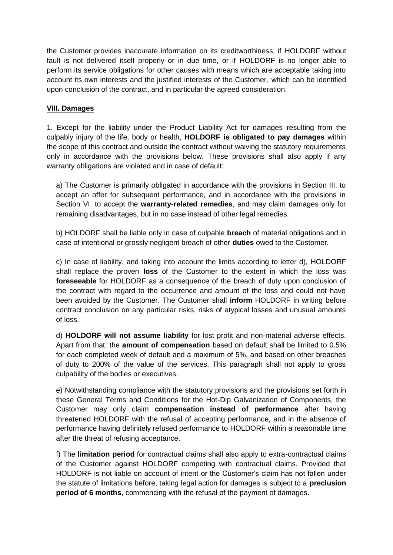the Customer provides inaccurate information on its creditworthiness, if HOLDORF without fault is not delivered itself properly or in due time, or if HOLDORF is no longer able to perform its service obligations for other causes with means which are acceptable taking into account its own interests and the justified interests of the Customer, which can be identified upon conclusion of the contract, and in particular the agreed consideration.

### **VIII. Damages**

1. Except for the liability under the Product Liability Act for damages resulting from the culpably injury of the life, body or health, **HOLDORF is obligated to pay damages** within the scope of this contract and outside the contract without waiving the statutory requirements only in accordance with the provisions below. These provisions shall also apply if any warranty obligations are violated and in case of default:

a) The Customer is primarily obligated in accordance with the provisions in Section III. to accept an offer for subsequent performance, and in accordance with the provisions in Section VI. to accept the **warranty-related remedies**, and may claim damages only for remaining disadvantages, but in no case instead of other legal remedies.

b) HOLDORF shall be liable only in case of culpable **breach** of material obligations and in case of intentional or grossly negligent breach of other **duties** owed to the Customer.

c) In case of liability, and taking into account the limits according to letter d), HOLDORF shall replace the proven **loss** of the Customer to the extent in which the loss was **foreseeable** for HOLDORF as a consequence of the breach of duty upon conclusion of the contract with regard to the occurrence and amount of the loss and could not have been avoided by the Customer. The Customer shall **inform** HOLDORF in writing before contract conclusion on any particular risks, risks of atypical losses and unusual amounts of loss.

d) **HOLDORF will not assume liability** for lost profit and non-material adverse effects. Apart from that, the **amount of compensation** based on default shall be limited to 0.5% for each completed week of default and a maximum of 5%, and based on other breaches of duty to 200% of the value of the services. This paragraph shall not apply to gross culpability of the bodies or executives.

e) Notwithstanding compliance with the statutory provisions and the provisions set forth in these General Terms and Conditions for the Hot-Dip Galvanization of Components, the Customer may only claim **compensation instead of performance** after having threatened HOLDORF with the refusal of accepting performance, and in the absence of performance having definitely refused performance to HOLDORF within a reasonable time after the threat of refusing acceptance.

f) The **limitation period** for contractual claims shall also apply to extra-contractual claims of the Customer against HOLDORF competing with contractual claims. Provided that HOLDORF is not liable on account of intent or the Customer's claim has not fallen under the statute of limitations before, taking legal action for damages is subject to a **preclusion period of 6 months**, commencing with the refusal of the payment of damages.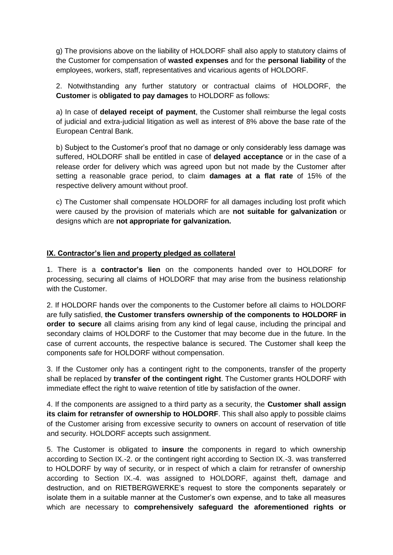g) The provisions above on the liability of HOLDORF shall also apply to statutory claims of the Customer for compensation of **wasted expenses** and for the **personal liability** of the employees, workers, staff, representatives and vicarious agents of HOLDORF.

2. Notwithstanding any further statutory or contractual claims of HOLDORF, the **Customer** is **obligated to pay damages** to HOLDORF as follows:

a) In case of **delayed receipt of payment**, the Customer shall reimburse the legal costs of judicial and extra-judicial litigation as well as interest of 8% above the base rate of the European Central Bank.

b) Subject to the Customer's proof that no damage or only considerably less damage was suffered, HOLDORF shall be entitled in case of **delayed acceptance** or in the case of a release order for delivery which was agreed upon but not made by the Customer after setting a reasonable grace period, to claim **damages at a flat rate** of 15% of the respective delivery amount without proof.

c) The Customer shall compensate HOLDORF for all damages including lost profit which were caused by the provision of materials which are **not suitable for galvanization** or designs which are **not appropriate for galvanization.**

# **IX. Contractor's lien and property pledged as collateral**

1. There is a **contractor's lien** on the components handed over to HOLDORF for processing, securing all claims of HOLDORF that may arise from the business relationship with the Customer.

2. If HOLDORF hands over the components to the Customer before all claims to HOLDORF are fully satisfied, **the Customer transfers ownership of the components to HOLDORF in order to secure** all claims arising from any kind of legal cause, including the principal and secondary claims of HOLDORF to the Customer that may become due in the future. In the case of current accounts, the respective balance is secured. The Customer shall keep the components safe for HOLDORF without compensation.

3. If the Customer only has a contingent right to the components, transfer of the property shall be replaced by **transfer of the contingent right**. The Customer grants HOLDORF with immediate effect the right to waive retention of title by satisfaction of the owner.

4. If the components are assigned to a third party as a security, the **Customer shall assign its claim for retransfer of ownership to HOLDORF**. This shall also apply to possible claims of the Customer arising from excessive security to owners on account of reservation of title and security. HOLDORF accepts such assignment.

5. The Customer is obligated to **insure** the components in regard to which ownership according to Section IX.-2. or the contingent right according to Section IX.-3. was transferred to HOLDORF by way of security, or in respect of which a claim for retransfer of ownership according to Section IX.-4. was assigned to HOLDORF, against theft, damage and destruction, and on RIETBERGWERKE's request to store the components separately or isolate them in a suitable manner at the Customer's own expense, and to take all measures which are necessary to **comprehensively safeguard the aforementioned rights or**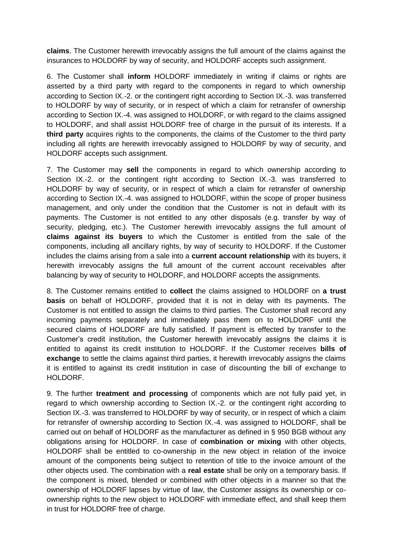**claims**. The Customer herewith irrevocably assigns the full amount of the claims against the insurances to HOLDORF by way of security, and HOLDORF accepts such assignment.

6. The Customer shall **inform** HOLDORF immediately in writing if claims or rights are asserted by a third party with regard to the components in regard to which ownership according to Section IX.-2. or the contingent right according to Section IX.-3. was transferred to HOLDORF by way of security, or in respect of which a claim for retransfer of ownership according to Section IX.-4. was assigned to HOLDORF, or with regard to the claims assigned to HOLDORF, and shall assist HOLDORF free of charge in the pursuit of its interests. If a **third party** acquires rights to the components, the claims of the Customer to the third party including all rights are herewith irrevocably assigned to HOLDORF by way of security, and HOLDORF accepts such assignment.

7. The Customer may **sell** the components in regard to which ownership according to Section IX.-2. or the contingent right according to Section IX.-3. was transferred to HOLDORF by way of security, or in respect of which a claim for retransfer of ownership according to Section IX.-4. was assigned to HOLDORF, within the scope of proper business management, and only under the condition that the Customer is not in default with its payments. The Customer is not entitled to any other disposals (e.g. transfer by way of security, pledging, etc.). The Customer herewith irrevocably assigns the full amount of **claims against its buyers** to which the Customer is entitled from the sale of the components, including all ancillary rights, by way of security to HOLDORF. If the Customer includes the claims arising from a sale into a **current account relationship** with its buyers, it herewith irrevocably assigns the full amount of the current account receivables after balancing by way of security to HOLDORF, and HOLDORF accepts the assignments.

8. The Customer remains entitled to **collect** the claims assigned to HOLDORF on **a trust basis** on behalf of HOLDORF, provided that it is not in delay with its payments. The Customer is not entitled to assign the claims to third parties. The Customer shall record any incoming payments separately and immediately pass them on to HOLDORF until the secured claims of HOLDORF are fully satisfied. If payment is effected by transfer to the Customer's credit institution, the Customer herewith irrevocably assigns the claims it is entitled to against its credit institution to HOLDORF. If the Customer receives **bills of exchange** to settle the claims against third parties, it herewith irrevocably assigns the claims it is entitled to against its credit institution in case of discounting the bill of exchange to HOLDORF.

9. The further **treatment and processing** of components which are not fully paid yet, in regard to which ownership according to Section IX.-2. or the contingent right according to Section IX.-3. was transferred to HOLDORF by way of security, or in respect of which a claim for retransfer of ownership according to Section IX.-4. was assigned to HOLDORF, shall be carried out on behalf of HOLDORF as the manufacturer as defined in § 950 BGB without any obligations arising for HOLDORF. In case of **combination or mixing** with other objects, HOLDORF shall be entitled to co-ownership in the new object in relation of the invoice amount of the components being subject to retention of title to the invoice amount of the other objects used. The combination with a **real estate** shall be only on a temporary basis. If the component is mixed, blended or combined with other objects in a manner so that the ownership of HOLDORF lapses by virtue of law, the Customer assigns its ownership or coownership rights to the new object to HOLDORF with immediate effect, and shall keep them in trust for HOLDORF free of charge.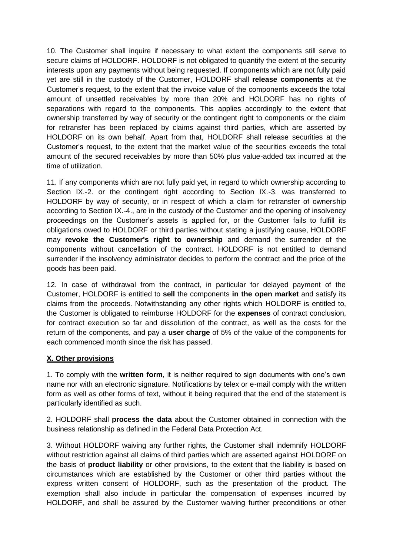10. The Customer shall inquire if necessary to what extent the components still serve to secure claims of HOLDORF. HOLDORF is not obligated to quantify the extent of the security interests upon any payments without being requested. If components which are not fully paid yet are still in the custody of the Customer, HOLDORF shall **release components** at the Customer's request, to the extent that the invoice value of the components exceeds the total amount of unsettled receivables by more than 20% and HOLDORF has no rights of separations with regard to the components. This applies accordingly to the extent that ownership transferred by way of security or the contingent right to components or the claim for retransfer has been replaced by claims against third parties, which are asserted by HOLDORF on its own behalf. Apart from that, HOLDORF shall release securities at the Customer's request, to the extent that the market value of the securities exceeds the total amount of the secured receivables by more than 50% plus value-added tax incurred at the time of utilization.

11. If any components which are not fully paid yet, in regard to which ownership according to Section IX.-2. or the contingent right according to Section IX.-3. was transferred to HOLDORF by way of security, or in respect of which a claim for retransfer of ownership according to Section IX.-4., are in the custody of the Customer and the opening of insolvency proceedings on the Customer's assets is applied for, or the Customer fails to fulfill its obligations owed to HOLDORF or third parties without stating a justifying cause, HOLDORF may **revoke the Customer's right to ownership** and demand the surrender of the components without cancellation of the contract. HOLDORF is not entitled to demand surrender if the insolvency administrator decides to perform the contract and the price of the goods has been paid.

12. In case of withdrawal from the contract, in particular for delayed payment of the Customer, HOLDORF is entitled to **sell** the components **in the open market** and satisfy its claims from the proceeds. Notwithstanding any other rights which HOLDORF is entitled to, the Customer is obligated to reimburse HOLDORF for the **expenses** of contract conclusion, for contract execution so far and dissolution of the contract, as well as the costs for the return of the components, and pay a **user charge** of 5% of the value of the components for each commenced month since the risk has passed.

# **X. Other provisions**

1. To comply with the **written form**, it is neither required to sign documents with one's own name nor with an electronic signature. Notifications by telex or e-mail comply with the written form as well as other forms of text, without it being required that the end of the statement is particularly identified as such.

2. HOLDORF shall **process the data** about the Customer obtained in connection with the business relationship as defined in the Federal Data Protection Act.

3. Without HOLDORF waiving any further rights, the Customer shall indemnify HOLDORF without restriction against all claims of third parties which are asserted against HOLDORF on the basis of **product liability** or other provisions, to the extent that the liability is based on circumstances which are established by the Customer or other third parties without the express written consent of HOLDORF, such as the presentation of the product. The exemption shall also include in particular the compensation of expenses incurred by HOLDORF, and shall be assured by the Customer waiving further preconditions or other